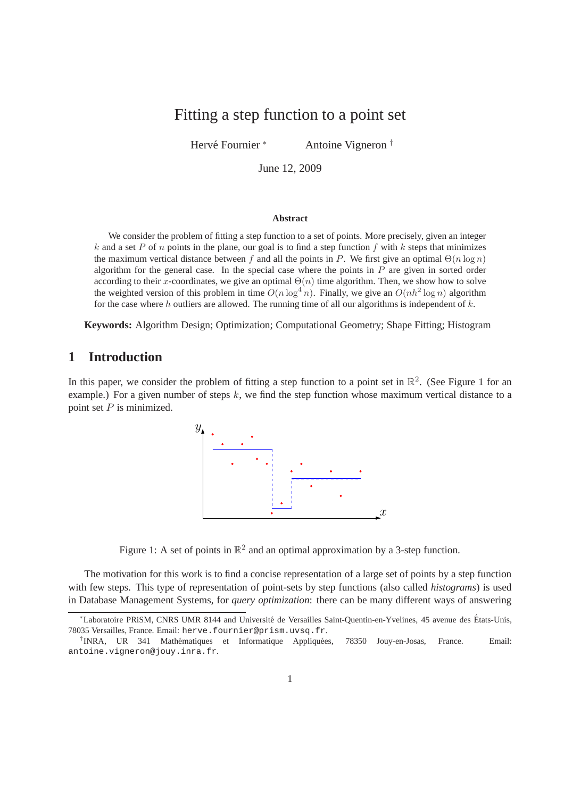# Fitting a step function to a point set

Hervé Fournier <sup>∗</sup> Antoine Vigneron †

June 12, 2009

#### **Abstract**

We consider the problem of fitting a step function to a set of points. More precisely, given an integer k and a set P of n points in the plane, our goal is to find a step function f with k steps that minimizes the maximum vertical distance between f and all the points in P. We first give an optimal  $\Theta(n \log n)$ algorithm for the general case. In the special case where the points in  $P$  are given in sorted order according to their x-coordinates, we give an optimal  $\Theta(n)$  time algorithm. Then, we show how to solve the weighted version of this problem in time  $O(n \log^4 n)$ . Finally, we give an  $O(nh^2 \log n)$  algorithm for the case where h outliers are allowed. The running time of all our algorithms is independent of  $k$ .

**Keywords:** Algorithm Design; Optimization; Computational Geometry; Shape Fitting; Histogram

# **1 Introduction**

In this paper, we consider the problem of fitting a step function to a point set in  $\mathbb{R}^2$ . (See Figure 1 for an example.) For a given number of steps  $k$ , we find the step function whose maximum vertical distance to a point set  $P$  is minimized.





The motivation for this work is to find a concise representation of a large set of points by a step function with few steps. This type of representation of point-sets by step functions (also called *histograms*) is used in Database Management Systems, for *query optimization*: there can be many different ways of answering

<sup>\*</sup>Laboratoire PRiSM, CNRS UMR 8144 and Université de Versailles Saint-Quentin-en-Yvelines, 45 avenue des États-Unis, 78035 Versailles, France. Email: herve.fournier@prism.uvsq.fr.

<sup>&</sup>lt;sup>†</sup> INRA, UR 341 Mathématiques et Informatique Appliquées, 78350 Jouy-en-Josas, France. Email: antoine.vigneron@jouy.inra.fr.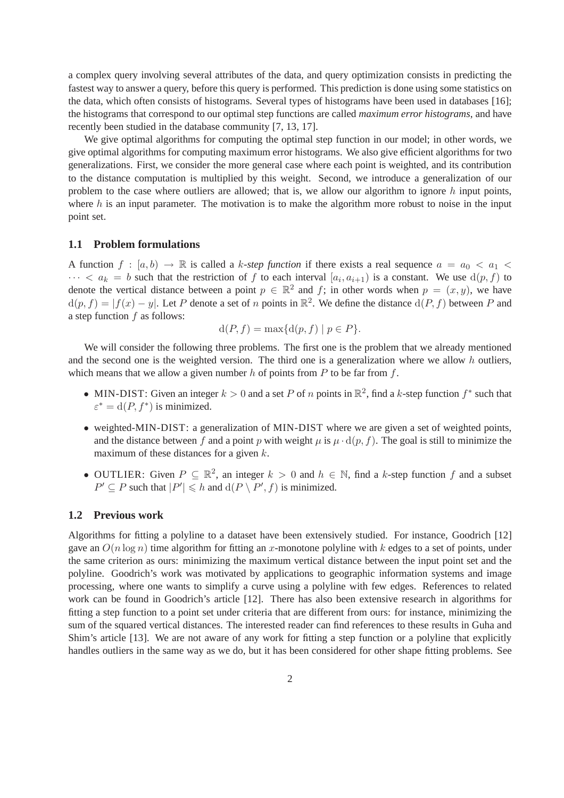a complex query involving several attributes of the data, and query optimization consists in predicting the fastest way to answer a query, before this query is performed. This prediction is done using some statistics on the data, which often consists of histograms. Several types of histograms have been used in databases [16]; the histograms that correspond to our optimal step functions are called *maximum error histograms*, and have recently been studied in the database community [7, 13, 17].

We give optimal algorithms for computing the optimal step function in our model; in other words, we give optimal algorithms for computing maximum error histograms. We also give efficient algorithms for two generalizations. First, we consider the more general case where each point is weighted, and its contribution to the distance computation is multiplied by this weight. Second, we introduce a generalization of our problem to the case where outliers are allowed; that is, we allow our algorithm to ignore  $h$  input points, where h is an input parameter. The motivation is to make the algorithm more robust to noise in the input point set.

### **1.1 Problem formulations**

A function  $f : [a, b) \to \mathbb{R}$  is called a k-step function if there exists a real sequence  $a = a_0 < a_1 <$  $\cdots < a_k = b$  such that the restriction of f to each interval  $[a_i, a_{i+1})$  is a constant. We use  $d(p, f)$  to denote the vertical distance between a point  $p \in \mathbb{R}^2$  and f; in other words when  $p = (x, y)$ , we have  $d(p, f) = |f(x) - y|$ . Let P denote a set of n points in  $\mathbb{R}^2$ . We define the distance  $d(P, f)$  between P and a step function f as follows:

$$
d(P, f) = \max\{d(p, f) \mid p \in P\}
$$

We will consider the following three problems. The first one is the problem that we already mentioned and the second one is the weighted version. The third one is a generalization where we allow  $h$  outliers, which means that we allow a given number  $h$  of points from  $P$  to be far from  $f$ .

- MIN-DIST: Given an integer  $k > 0$  and a set P of n points in  $\mathbb{R}^2$ , find a k-step function  $f^*$  such that  $\varepsilon^* = d(P, f^*)$  is minimized.
- weighted-MIN-DIST: a generalization of MIN-DIST where we are given a set of weighted points, and the distance between f and a point p with weight  $\mu$  is  $\mu \cdot d(p, f)$ . The goal is still to minimize the maximum of these distances for a given k.
- OUTLIER: Given  $P \subseteq \mathbb{R}^2$ , an integer  $k > 0$  and  $h \in \mathbb{N}$ , find a k-step function f and a subset  $P' \subseteq P$  such that  $|P'| \le h$  and  $d(P \setminus P', f)$  is minimized.

#### **1.2 Previous work**

Algorithms for fitting a polyline to a dataset have been extensively studied. For instance, Goodrich [12] gave an  $O(n \log n)$  time algorithm for fitting an x-monotone polyline with k edges to a set of points, under the same criterion as ours: minimizing the maximum vertical distance between the input point set and the polyline. Goodrich's work was motivated by applications to geographic information systems and image processing, where one wants to simplify a curve using a polyline with few edges. References to related work can be found in Goodrich's article [12]. There has also been extensive research in algorithms for fitting a step function to a point set under criteria that are different from ours: for instance, minimizing the sum of the squared vertical distances. The interested reader can find references to these results in Guha and Shim's article [13]. We are not aware of any work for fitting a step function or a polyline that explicitly handles outliers in the same way as we do, but it has been considered for other shape fitting problems. See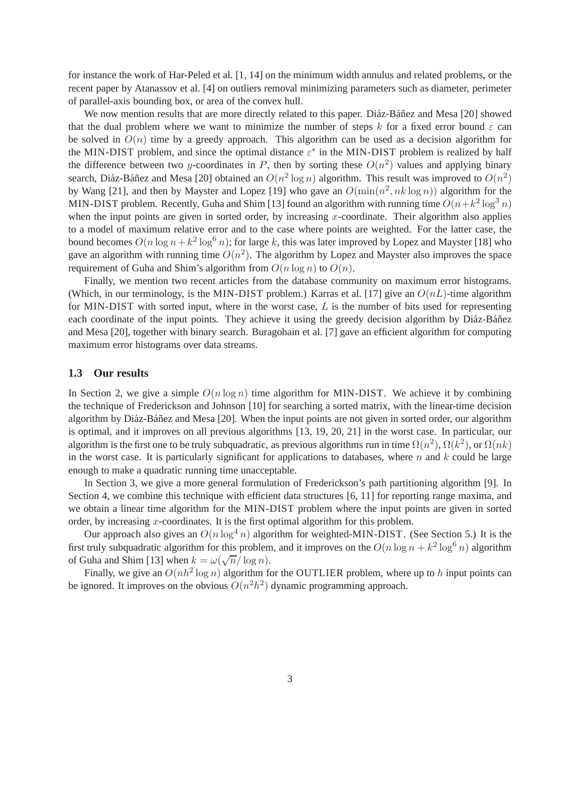for instance the work of Har-Peled et al. [1, 14] on the minimum width annulus and related problems, or the recent paper by Atanassov et al. [4] on outliers removal minimizing parameters such as diameter, perimeter of parallel-axis bounding box, or area of the convex hull.

We now mention results that are more directly related to this paper. Diáz-Báñez and Mesa [20] showed that the dual problem where we want to minimize the number of steps k for a fixed error bound  $\varepsilon$  can be solved in  $O(n)$  time by a greedy approach. This algorithm can be used as a decision algorithm for the MIN-DIST problem, and since the optimal distance  $\varepsilon^*$  in the MIN-DIST problem is realized by half the difference between two y-coordinates in P, then by sorting these  $O(n^2)$  values and applying binary search, Diáz-Báñez and Mesa [20] obtained an  $O(n^2 \log n)$  algorithm. This result was improved to  $O(n^2)$ by Wang [21], and then by Mayster and Lopez [19] who gave an  $O(\min(n^2, nk \log n))$  algorithm for the MIN-DIST problem. Recently, Guha and Shim [13] found an algorithm with running time  $O(n+k^2 \log^3 n)$ when the input points are given in sorted order, by increasing  $x$ -coordinate. Their algorithm also applies to a model of maximum relative error and to the case where points are weighted. For the latter case, the bound becomes  $O(n \log n + k^2 \log^6 n)$ ; for large k, this was later improved by Lopez and Mayster [18] who gave an algorithm with running time  $O(n^2)$ . The algorithm by Lopez and Mayster also improves the space requirement of Guha and Shim's algorithm from  $O(n \log n)$  to  $O(n)$ .

Finally, we mention two recent articles from the database community on maximum error histograms. (Which, in our terminology, is the MIN-DIST problem.) Karras et al. [17] give an  $O(nL)$ -time algorithm for MIN-DIST with sorted input, where in the worst case, L is the number of bits used for representing each coordinate of the input points. They achieve it using the greedy decision algorithm by Diáz-Báñez and Mesa [20], together with binary search. Buragohain et al. [7] gave an efficient algorithm for computing maximum error histograms over data streams.

#### **1.3 Our results**

In Section 2, we give a simple  $O(n \log n)$  time algorithm for MIN-DIST. We achieve it by combining the technique of Frederickson and Johnson [10] for searching a sorted matrix, with the linear-time decision algorithm by Diáz-Báñez and Mesa [20]. When the input points are not given in sorted order, our algorithm is optimal, and it improves on all previous algorithms [13, 19, 20, 21] in the worst case. In particular, our algorithm is the first one to be truly subquadratic, as previous algorithms run in time  $\Omega(n^2)$ ,  $\Omega(k^2)$ , or  $\Omega(nk)$ in the worst case. It is particularly significant for applications to databases, where  $n$  and  $k$  could be large enough to make a quadratic running time unacceptable.

In Section 3, we give a more general formulation of Frederickson's path partitioning algorithm [9]. In Section 4, we combine this technique with efficient data structures [6, 11] for reporting range maxima, and we obtain a linear time algorithm for the MIN-DIST problem where the input points are given in sorted order, by increasing  $x$ -coordinates. It is the first optimal algorithm for this problem.

Our approach also gives an  $O(n \log^4 n)$  algorithm for weighted-MIN-DIST. (See Section 5.) It is the first truly subquadratic algorithm for this problem, and it improves on the  $O(n \log n + k^2 \log^6 n)$  algorithm of Guha and Shim [13] when  $k = \omega(\sqrt{n}/\log n)$ .

Finally, we give an  $O(nh^2 \log n)$  algorithm for the OUTLIER problem, where up to h input points can be ignored. It improves on the obvious  $O(n^2h^2)$  dynamic programming approach.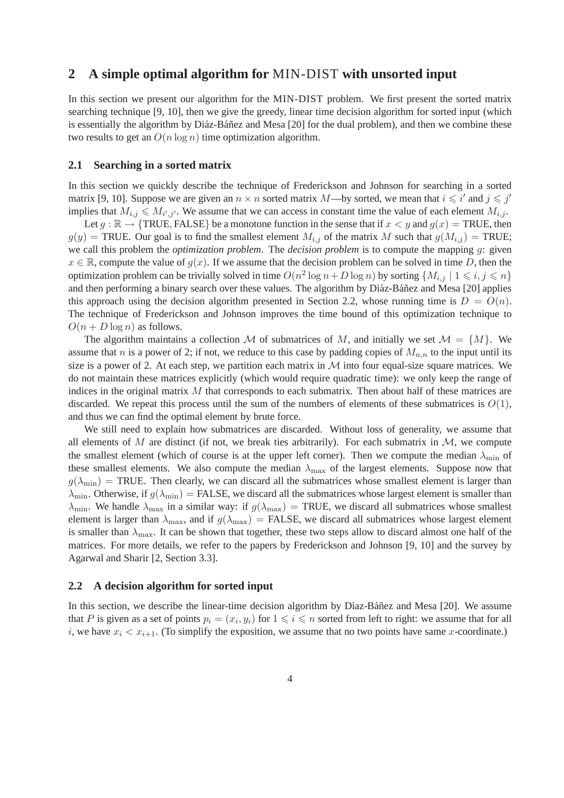### **2 A simple optimal algorithm for** MIN-DIST **with unsorted input**

In this section we present our algorithm for the MIN-DIST problem. We first present the sorted matrix searching technique [9, 10], then we give the greedy, linear time decision algorithm for sorted input (which is essentially the algorithm by Diáz-Báñez and Mesa [20] for the dual problem), and then we combine these two results to get an  $O(n \log n)$  time optimization algorithm.

#### **2.1 Searching in a sorted matrix**

In this section we quickly describe the technique of Frederickson and Johnson for searching in a sorted matrix [9, 10]. Suppose we are given an  $n \times n$  sorted matrix M—by sorted, we mean that  $i \leq i'$  and  $j \leq j'$ implies that  $M_{i,j} \leqslant M_{i',j'}$ . We assume that we can access in constant time the value of each element  $M_{i,j}$ .

Let  $g : \mathbb{R} \to \{\text{TRUE}, \text{FALSE}\}$  be a monotone function in the sense that if  $x < y$  and  $g(x) = \text{TRUE}$ , then  $g(y)$  = TRUE. Our goal is to find the smallest element  $M_{i,j}$  of the matrix M such that  $g(M_{i,j})$  = TRUE; we call this problem the *optimization problem*. The *decision problem* is to compute the mapping g: given  $x \in \mathbb{R}$ , compute the value of  $q(x)$ . If we assume that the decision problem can be solved in time D, then the optimization problem can be trivially solved in time  $O(n^2 \log n + D \log n)$  by sorting  $\{M_{i,j} \mid 1 \leq i,j \leq n\}$ and then performing a binary search over these values. The algorithm by Diáz-Báñez and Mesa [20] applies this approach using the decision algorithm presented in Section 2.2, whose running time is  $D = O(n)$ . The technique of Frederickson and Johnson improves the time bound of this optimization technique to  $O(n + D \log n)$  as follows.

The algorithm maintains a collection M of submatrices of M, and initially we set  $\mathcal{M} = \{M\}$ . We assume that n is a power of 2; if not, we reduce to this case by padding copies of  $M_{n,n}$  to the input until its size is a power of 2. At each step, we partition each matrix in  $M$  into four equal-size square matrices. We do not maintain these matrices explicitly (which would require quadratic time): we only keep the range of indices in the original matrix  $M$  that corresponds to each submatrix. Then about half of these matrices are discarded. We repeat this process until the sum of the numbers of elements of these submatrices is  $O(1)$ , and thus we can find the optimal element by brute force.

We still need to explain how submatrices are discarded. Without loss of generality, we assume that all elements of M are distinct (if not, we break ties arbitrarily). For each submatrix in  $\mathcal{M}$ , we compute the smallest element (which of course is at the upper left corner). Then we compute the median  $\lambda_{\min}$  of these smallest elements. We also compute the median  $\lambda_{\text{max}}$  of the largest elements. Suppose now that  $g(\lambda_{\min})$  = TRUE. Then clearly, we can discard all the submatrices whose smallest element is larger than  $\lambda_{\rm min}$ . Otherwise, if  $g(\lambda_{\rm min}) =$  FALSE, we discard all the submatrices whose largest element is smaller than  $\lambda_{\min}$ . We handle  $\lambda_{\max}$  in a similar way: if  $g(\lambda_{\max})$  = TRUE, we discard all submatrices whose smallest element is larger than  $\lambda_{\text{max}}$ , and if  $g(\lambda_{\text{max}})$  = FALSE, we discard all submatrices whose largest element is smaller than  $\lambda_{\text{max}}$ . It can be shown that together, these two steps allow to discard almost one half of the matrices. For more details, we refer to the papers by Frederickson and Johnson [9, 10] and the survey by Agarwal and Sharir [2, Section 3.3].

### **2.2 A decision algorithm for sorted input**

In this section, we describe the linear-time decision algorithm by Díaz-Báñez and Mesa [20]. We assume that P is given as a set of points  $p_i = (x_i, y_i)$  for  $1 \leq i \leq n$  sorted from left to right: we assume that for all i, we have  $x_i < x_{i+1}$ . (To simplify the exposition, we assume that no two points have same x-coordinate.)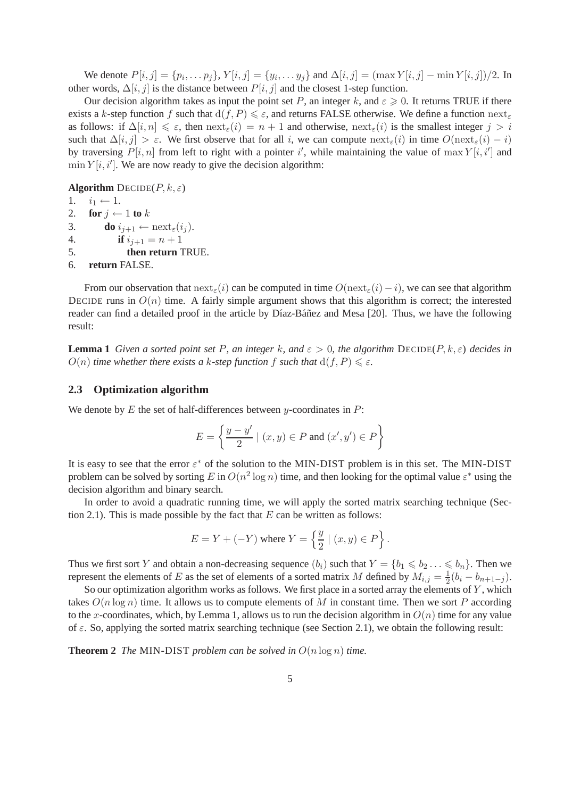We denote  $P[i, j] = \{p_i, \dots p_j\}$ ,  $Y[i, j] = \{y_i, \dots y_j\}$  and  $\Delta[i, j] = (\max Y[i, j] - \min Y[i, j])/2$ . In other words,  $\Delta[i, j]$  is the distance between  $P[i, j]$  and the closest 1-step function.

Our decision algorithm takes as input the point set P, an integer k, and  $\varepsilon \geqslant 0$ . It returns TRUE if there exists a k-step function f such that  $d(f, P) \le \varepsilon$ , and returns FALSE otherwise. We define a function  $next_{\varepsilon}$ as follows: if  $\Delta[i, n] \leq \varepsilon$ , then  $\operatorname{next}_{\varepsilon}(i) = n + 1$  and otherwise,  $\operatorname{next}_{\varepsilon}(i)$  is the smallest integer  $j > i$ such that  $\Delta[i, j] > \varepsilon$ . We first observe that for all i, we can compute  $\operatorname{next}_{\varepsilon}(i)$  in time  $O(\operatorname{next}_{\varepsilon}(i) - i)$ by traversing  $P[i, n]$  from left to right with a pointer i', while maintaining the value of  $\max Y[i, i']$  and  $\min Y[i, i']$ . We are now ready to give the decision algorithm:

**Algorithm**  $\text{DECIDE}(P, k, \varepsilon)$ 

```
1. i_1 \leftarrow 1.<br>2. for i \leftarrow2. for j \leftarrow 1 to k<br>3. do i_{i+1} \leftarrow3. do i_{j+1} \leftarrow \text{next}_{\varepsilon}(i_j).<br>4. if i_{i+1} = n+1if i_{j+1} = n+15. then return TRUE.
6. return FALSE.
```
From our observation that  $\text{next}_{\varepsilon}(i)$  can be computed in time  $O(\text{next}_{\varepsilon}(i) - i)$ , we can see that algorithm DECIDE runs in  $O(n)$  time. A fairly simple argument shows that this algorithm is correct; the interested reader can find a detailed proof in the article by Díaz-Báñez and Mesa [20]. Thus, we have the following result:

**Lemma 1** *Given a sorted point set* P, an integer k, and  $\varepsilon > 0$ , the algorithm DECIDE(P, k,  $\varepsilon$ ) decides in  $O(n)$  *time whether there exists a k-step function* f *such that*  $d(f, P) \leq \varepsilon$ *.* 

### **2.3 Optimization algorithm**

We denote by  $E$  the set of half-differences between y-coordinates in  $P$ :

$$
E = \left\{ \frac{y - y'}{2} \mid (x, y) \in P \text{ and } (x', y') \in P \right\}
$$

It is easy to see that the error  $\varepsilon^*$  of the solution to the MIN-DIST problem is in this set. The MIN-DIST problem can be solved by sorting E in  $O(n^2 \log n)$  time, and then looking for the optimal value  $\varepsilon^*$  using the decision algorithm and binary search.

In order to avoid a quadratic running time, we will apply the sorted matrix searching technique (Section 2.1). This is made possible by the fact that  $E$  can be written as follows:

$$
E = Y + (-Y) \text{ where } Y = \left\{ \frac{y}{2} \mid (x, y) \in P \right\}.
$$

Thus we first sort Y and obtain a non-decreasing sequence  $(b_i)$  such that  $Y = \{b_1 \leq b_2 \ldots \leq b_n\}$ . Then we represent the elements of E as the set of elements of a sorted matrix M defined by  $M_{i,j} = \frac{1}{2}$  $rac{1}{2}(b_i-b_{n+1-j}).$ 

So our optimization algorithm works as follows. We first place in a sorted array the elements of  $Y$ , which takes  $O(n \log n)$  time. It allows us to compute elements of M in constant time. Then we sort P according to the x-coordinates, which, by Lemma 1, allows us to run the decision algorithm in  $O(n)$  time for any value of  $\varepsilon$ . So, applying the sorted matrix searching technique (see Section 2.1), we obtain the following result:

**Theorem 2** *The* MIN-DIST *problem can be solved in*  $O(n \log n)$  *time.*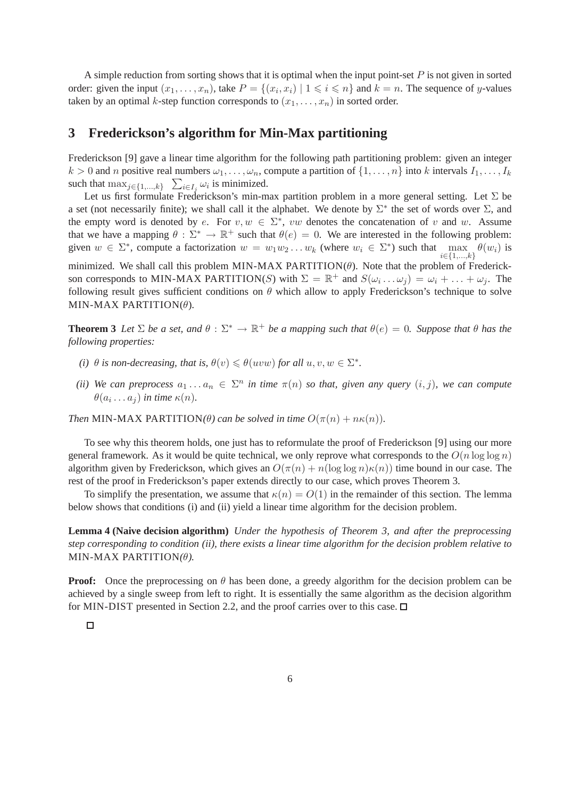A simple reduction from sorting shows that it is optimal when the input point-set  $P$  is not given in sorted order: given the input  $(x_1, \ldots, x_n)$ , take  $P = \{(x_i, x_i) \mid 1 \leq i \leq n\}$  and  $k = n$ . The sequence of y-values taken by an optimal k-step function corresponds to  $(x_1, \ldots, x_n)$  in sorted order.

# **3 Frederickson's algorithm for Min-Max partitioning**

Frederickson [9] gave a linear time algorithm for the following path partitioning problem: given an integer  $k > 0$  and n positive real numbers  $\omega_1, \ldots, \omega_n$ , compute a partition of  $\{1, \ldots, n\}$  into k intervals  $I_1, \ldots, I_k$ such that  $\max_{j \in \{1, ..., k\}}$   $\sum_{i \in I_j} \omega_i$  is minimized.

Let us first formulate Frederickson's min-max partition problem in a more general setting. Let  $\Sigma$  be a set (not necessarily finite); we shall call it the alphabet. We denote by  $\Sigma^*$  the set of words over  $\Sigma$ , and the empty word is denoted by e. For  $v, w \in \Sigma^*$ , vw denotes the concatenation of v and w. Assume that we have a mapping  $\theta : \Sigma^* \to \mathbb{R}^+$  such that  $\theta(e) = 0$ . We are interested in the following problem: given  $w \in \Sigma^*$ , compute a factorization  $w = w_1w_2 \ldots w_k$  (where  $w_i \in \Sigma^*$ ) such that  $\max_{i \in \{1,\ldots,k\}} \theta(w_i)$  is minimized. We shall call this problem MIN-MAX PARTITION( $\theta$ ). Note that the problem of Frederickson corresponds to MIN-MAX PARTITION(S) with  $\Sigma = \mathbb{R}^+$  and  $S(\omega_i \dots \omega_j) = \omega_i + \dots + \omega_j$ . The following result gives sufficient conditions on  $\theta$  which allow to apply Frederickson's technique to solve MIN-MAX PARTITION( $\theta$ ).

**Theorem 3** *Let*  $\Sigma$  *be a set, and*  $\theta : \Sigma^* \to \mathbb{R}^+$  *be a mapping such that*  $\theta(e) = 0$ *. Suppose that*  $\theta$  *has the following properties:*

- *(i)*  $\theta$  *is non-decreasing, that is,*  $\theta(v) \leq \theta(uvw)$  *for all*  $u, v, w \in \Sigma^*$ .
- *(ii)* We can preprocess  $a_1 \ldots a_n \in \Sigma^n$  in time  $\pi(n)$  so that, given any query  $(i, j)$ , we can compute  $\theta(a_i \dots a_j)$  in time  $\kappa(n)$ .

*Then* MIN-MAX PARTITION( $\theta$ ) can be solved in time  $O(\pi(n) + n\kappa(n))$ .

To see why this theorem holds, one just has to reformulate the proof of Frederickson [9] using our more general framework. As it would be quite technical, we only reprove what corresponds to the  $O(n \log \log n)$ algorithm given by Frederickson, which gives an  $O(\pi(n) + n(\log \log n)\kappa(n))$  time bound in our case. The rest of the proof in Frederickson's paper extends directly to our case, which proves Theorem 3.

To simplify the presentation, we assume that  $\kappa(n) = O(1)$  in the remainder of this section. The lemma below shows that conditions (i) and (ii) yield a linear time algorithm for the decision problem.

**Lemma 4 (Naive decision algorithm)** *Under the hypothesis of Theorem 3, and after the preprocessing step corresponding to condition (ii), there exists a linear time algorithm for the decision problem relative to* MIN-MAX PARTITION*(*θ*).*

**Proof:** Once the preprocessing on  $\theta$  has been done, a greedy algorithm for the decision problem can be achieved by a single sweep from left to right. It is essentially the same algorithm as the decision algorithm for MIN-DIST presented in Section 2.2, and the proof carries over to this case.  $\Box$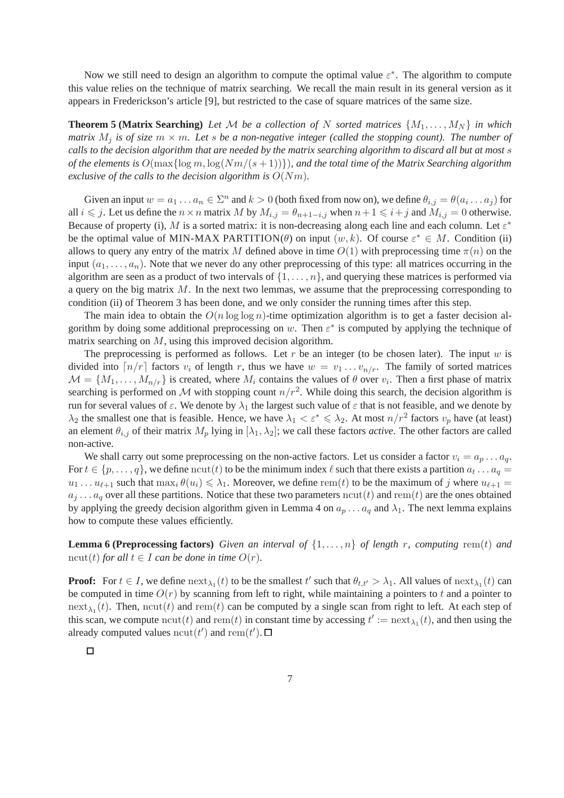Now we still need to design an algorithm to compute the optimal value  $\varepsilon^*$ . The algorithm to compute this value relies on the technique of matrix searching. We recall the main result in its general version as it appears in Frederickson's article [9], but restricted to the case of square matrices of the same size.

**Theorem 5 (Matrix Searching)** Let M be a collection of N sorted matrices  $\{M_1, \ldots, M_N\}$  in which *matrix*  $M_i$  *is of size*  $m \times m$ *. Let s be a non-negative integer (called the stopping count). The number of calls to the decision algorithm that are needed by the matrix searching algorithm to discard all but at most* s *of the elements is*  $O(\max{\log m, \log(Nm/(s+1))})$ *, and the total time of the Matrix Searching algorithm exclusive of the calls to the decision algorithm is* O(Nm)*.*

Given an input  $w = a_1 \dots a_n \in \Sigma^n$  and  $k > 0$  (both fixed from now on), we define  $\theta_{i,j} = \theta(a_i \dots a_j)$  for all  $i \le j$ . Let us define the  $n \times n$  matrix M by  $M_{i,j} = \theta_{n+1-i,j}$  when  $n+1 \le i+j$  and  $M_{i,j} = 0$  otherwise. Because of property (i), M is a sorted matrix: it is non-decreasing along each line and each column. Let  $\varepsilon^*$ be the optimal value of MIN-MAX PARTITION( $\theta$ ) on input  $(w, k)$ . Of course  $\varepsilon^* \in M$ . Condition (ii) allows to query any entry of the matrix M defined above in time  $O(1)$  with preprocessing time  $\pi(n)$  on the input  $(a_1, \ldots, a_n)$ . Note that we never do any other preprocessing of this type: all matrices occurring in the algorithm are seen as a product of two intervals of  $\{1, \ldots, n\}$ , and querying these matrices is performed via a query on the big matrix  $M$ . In the next two lemmas, we assume that the preprocessing corresponding to condition (ii) of Theorem 3 has been done, and we only consider the running times after this step.

The main idea to obtain the  $O(n \log \log n)$ -time optimization algorithm is to get a faster decision algorithm by doing some additional preprocessing on w. Then  $\varepsilon^*$  is computed by applying the technique of matrix searching on M, using this improved decision algorithm.

The preprocessing is performed as follows. Let r be an integer (to be chosen later). The input  $w$  is divided into  $\lceil n/r \rceil$  factors  $v_i$  of length r, thus we have  $w = v_1 \ldots v_{n/r}$ . The family of sorted matrices  $M = \{M_1, \ldots, M_{n/r}\}\$  is created, where  $M_i$  contains the values of  $\theta$  over  $v_i$ . Then a first phase of matrix searching is performed on M with stopping count  $n/r^2$ . While doing this search, the decision algorithm is run for several values of  $\varepsilon$ . We denote by  $\lambda_1$  the largest such value of  $\varepsilon$  that is not feasible, and we denote by  $\lambda_2$  the smallest one that is feasible. Hence, we have  $\lambda_1 < \varepsilon^* \leq \lambda_2$ . At most  $n/r^2$  factors  $v_p$  have (at least) an element  $\theta_{i,j}$  of their matrix  $M_p$  lying in  $[\lambda_1, \lambda_2]$ ; we call these factors *active*. The other factors are called non-active.

We shall carry out some preprocessing on the non-active factors. Let us consider a factor  $v_i = a_p \dots a_q$ . For  $t \in \{p, \ldots, q\}$ , we define  $\text{ncut}(t)$  to be the minimum index  $\ell$  such that there exists a partition  $a_t \ldots a_q =$  $u_1 \dots u_{\ell+1}$  such that  $\max_i \theta(u_i) \leq \lambda_1$ . Moreover, we define rem(t) to be the maximum of j where  $u_{\ell+1} =$  $a_j \dots a_q$  over all these partitions. Notice that these two parameters  $\text{ncut}(t)$  and  $\text{rem}(t)$  are the ones obtained by applying the greedy decision algorithm given in Lemma 4 on  $a_p \dots a_q$  and  $\lambda_1$ . The next lemma explains how to compute these values efficiently.

**Lemma 6 (Preprocessing factors)** *Given an interval of*  $\{1, \ldots, n\}$  *of length* r*, computing* rem(t) *and* ncut(t) for all  $t \in I$  can be done in time  $O(r)$ .

**Proof:** For  $t \in I$ , we define  $\text{next}_{\lambda_1}(t)$  to be the smallest  $t'$  such that  $\theta_{t,t'} > \lambda_1$ . All values of  $\text{next}_{\lambda_1}(t)$  can be computed in time  $O(r)$  by scanning from left to right, while maintaining a pointers to t and a pointer to  $\text{next}_{\lambda_1}(t)$ . Then,  $\text{ncut}(t)$  and  $\text{rem}(t)$  can be computed by a single scan from right to left. At each step of this scan, we compute  $ncut(t)$  and  $rem(t)$  in constant time by accessing  $t' := \text{next}_{\lambda_1}(t)$ , and then using the already computed values  $\text{ncut}(t')$  and  $\text{rem}(t')$ .

 $\Box$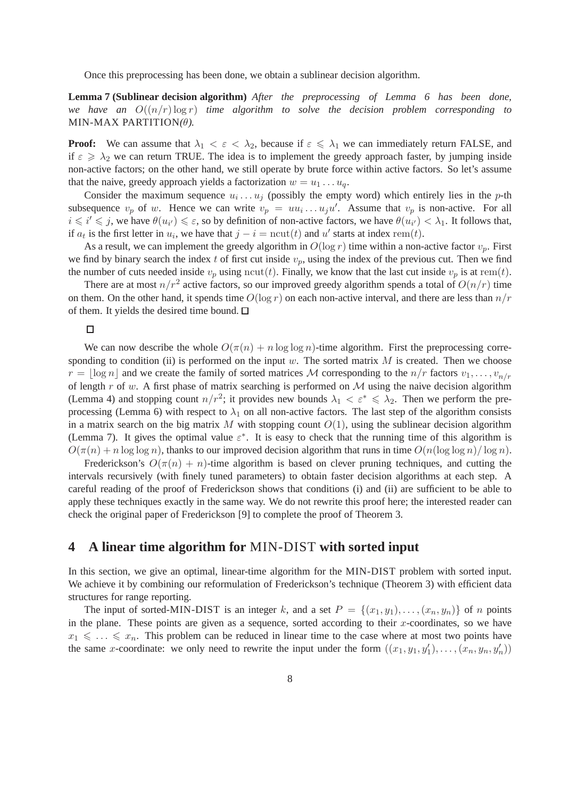Once this preprocessing has been done, we obtain a sublinear decision algorithm.

**Lemma 7 (Sublinear decision algorithm)** *After the preprocessing of Lemma 6 has been done, we have an*  $O((n/r) \log r)$  *time algorithm to solve the decision problem corresponding to* MIN-MAX PARTITION*(*θ*).*

**Proof:** We can assume that  $\lambda_1 < \varepsilon < \lambda_2$ , because if  $\varepsilon \leq \lambda_1$  we can immediately return FALSE, and if  $\varepsilon \ge \lambda_2$  we can return TRUE. The idea is to implement the greedy approach faster, by jumping inside non-active factors; on the other hand, we still operate by brute force within active factors. So let's assume that the naive, greedy approach yields a factorization  $w = u_1 \dots u_q$ .

Consider the maximum sequence  $u_i \dots u_j$  (possibly the empty word) which entirely lies in the p-th subsequence  $v_p$  of w. Hence we can write  $v_p = uu_i \dots u_j u'$ . Assume that  $v_p$  is non-active. For all  $i \leq i' \leq j$ , we have  $\theta(u_{i'}) \leq \varepsilon$ , so by definition of non-active factors, we have  $\theta(u_{i'}) < \lambda_1$ . It follows that, if  $a_t$  is the first letter in  $u_i$ , we have that  $j - i = \text{ncut}(t)$  and  $u'$  starts at index rem(t).

As a result, we can implement the greedy algorithm in  $O(\log r)$  time within a non-active factor  $v_p$ . First we find by binary search the index t of first cut inside  $v_p$ , using the index of the previous cut. Then we find the number of cuts needed inside  $v_p$  using ncut(t). Finally, we know that the last cut inside  $v_p$  is at rem(t).

There are at most  $n/r^2$  active factors, so our improved greedy algorithm spends a total of  $O(n/r)$  time on them. On the other hand, it spends time  $O(\log r)$  on each non-active interval, and there are less than  $n/r$ of them. It yields the desired time bound.  $\square$ 

### $\Box$

We can now describe the whole  $O(\pi(n) + n \log \log n)$ -time algorithm. First the preprocessing corresponding to condition (ii) is performed on the input w. The sorted matrix  $M$  is created. Then we choose  $r = |\log n|$  and we create the family of sorted matrices M corresponding to the  $n/r$  factors  $v_1, \ldots, v_{n/r}$ of length  $r$  of w. A first phase of matrix searching is performed on  $M$  using the naive decision algorithm (Lemma 4) and stopping count  $n/r^2$ ; it provides new bounds  $\lambda_1 < \varepsilon^* \leq \lambda_2$ . Then we perform the preprocessing (Lemma 6) with respect to  $\lambda_1$  on all non-active factors. The last step of the algorithm consists in a matrix search on the big matrix M with stopping count  $O(1)$ , using the sublinear decision algorithm (Lemma 7). It gives the optimal value  $\varepsilon^*$ . It is easy to check that the running time of this algorithm is  $O(\pi(n) + n \log \log n)$ , thanks to our improved decision algorithm that runs in time  $O(n(\log \log n)/\log n)$ .

Frederickson's  $O(\pi(n) + n)$ -time algorithm is based on clever pruning techniques, and cutting the intervals recursively (with finely tuned parameters) to obtain faster decision algorithms at each step. A careful reading of the proof of Frederickson shows that conditions (i) and (ii) are sufficient to be able to apply these techniques exactly in the same way. We do not rewrite this proof here; the interested reader can check the original paper of Frederickson [9] to complete the proof of Theorem 3.

# **4 A linear time algorithm for** MIN-DIST **with sorted input**

In this section, we give an optimal, linear-time algorithm for the MIN-DIST problem with sorted input. We achieve it by combining our reformulation of Frederickson's technique (Theorem 3) with efficient data structures for range reporting.

The input of sorted-MIN-DIST is an integer k, and a set  $P = \{(x_1, y_1), \ldots, (x_n, y_n)\}\$ of n points in the plane. These points are given as a sequence, sorted according to their  $x$ -coordinates, so we have  $x_1 \leq \ldots \leq x_n$ . This problem can be reduced in linear time to the case where at most two points have the same x-coordinate: we only need to rewrite the input under the form  $((x_1, y_1, y'_1), \ldots, (x_n, y_n, y'_n))$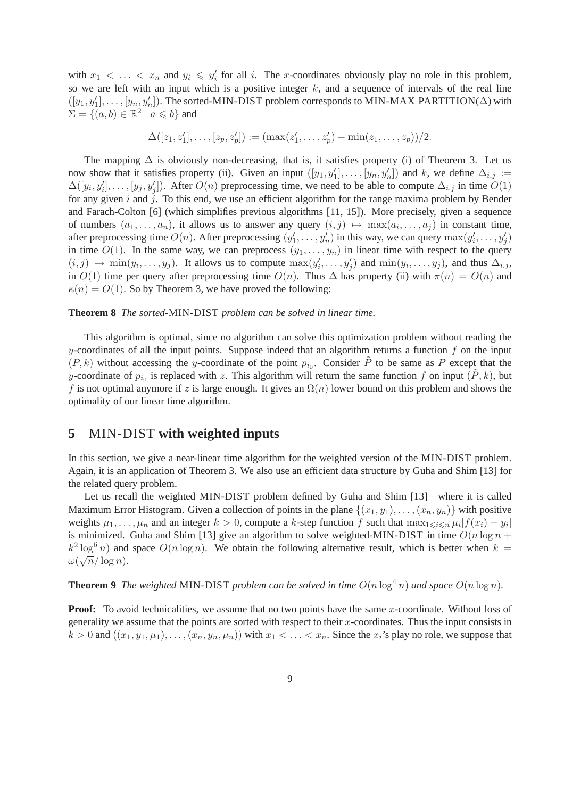with  $x_1 < \ldots < x_n$  and  $y_i \leq y'_i$  for all i. The x-coordinates obviously play no role in this problem, so we are left with an input which is a positive integer  $k$ , and a sequence of intervals of the real line  $([y_1, y'_1], \ldots, [y_n, y'_n])$ . The sorted-MIN-DIST problem corresponds to MIN-MAX PARTITION( $\Delta$ ) with  $\Sigma = \{ (a, b) \in \mathbb{R}^2 \mid a \leq b \}$  and

$$
\Delta([z_1, z'_1], \ldots, [z_p, z'_p]) := (\max(z'_1, \ldots, z'_p) - \min(z_1, \ldots, z_p))/2.
$$

The mapping  $\Delta$  is obviously non-decreasing, that is, it satisfies property (i) of Theorem 3. Let us now show that it satisfies property (ii). Given an input  $([y_1, y'_1], \ldots, [y_n, y'_n])$  and k, we define  $\Delta_{i,j} :=$  $\Delta([y_i, y'_i], \ldots, [y_j, y'_j])$ . After  $O(n)$  preprocessing time, we need to be able to compute  $\Delta_{i,j}$  in time  $O(1)$ for any given  $i$  and  $j$ . To this end, we use an efficient algorithm for the range maxima problem by Bender and Farach-Colton [6] (which simplifies previous algorithms [11, 15]). More precisely, given a sequence of numbers  $(a_1, \ldots, a_n)$ , it allows us to answer any query  $(i, j) \mapsto \max(a_i, \ldots, a_j)$  in constant time, after preprocessing time  $O(n)$ . After preprocessing  $(y'_1, \ldots, y'_n)$  in this way, we can query  $\max(y'_i, \ldots, y'_j)$ in time  $O(1)$ . In the same way, we can preprocess  $(y_1, \ldots, y_n)$  in linear time with respect to the query  $(i, j) \mapsto \min(y_i, \ldots, y_j)$ . It allows us to compute  $\max(y'_i, \ldots, y'_j)$  and  $\min(y_i, \ldots, y_j)$ , and thus  $\Delta_{i,j}$ , in  $O(1)$  time per query after preprocessing time  $O(n)$ . Thus  $\Delta$  has property (ii) with  $\pi(n) = O(n)$  and  $\kappa(n) = O(1)$ . So by Theorem 3, we have proved the following:

#### **Theorem 8** *The sorted-*MIN-DIST *problem can be solved in linear time.*

This algorithm is optimal, since no algorithm can solve this optimization problem without reading the y-coordinates of all the input points. Suppose indeed that an algorithm returns a function  $f$  on the input  $(P, k)$  without accessing the y-coordinate of the point  $p_{i0}$ . Consider  $\tilde{P}$  to be same as P except that the y-coordinate of  $p_{i_0}$  is replaced with z. This algorithm will return the same function f on input  $(\tilde{P}, k)$ , but f is not optimal anymore if z is large enough. It gives an  $\Omega(n)$  lower bound on this problem and shows the optimality of our linear time algorithm.

# **5** MIN-DIST **with weighted inputs**

In this section, we give a near-linear time algorithm for the weighted version of the MIN-DIST problem. Again, it is an application of Theorem 3. We also use an efficient data structure by Guha and Shim [13] for the related query problem.

Let us recall the weighted MIN-DIST problem defined by Guha and Shim [13]—where it is called Maximum Error Histogram. Given a collection of points in the plane  $\{(x_1, y_1), \ldots, (x_n, y_n)\}\$  with positive weights  $\mu_1, \ldots, \mu_n$  and an integer  $k > 0$ , compute a k-step function f such that  $\max_{1 \leq i \leq n} \mu_i |f(x_i) - y_i|$ is minimized. Guha and Shim [13] give an algorithm to solve weighted-MIN-DIST in time  $O(n \log n +$  $k^2 \log^6 n$ ) and space  $O(n \log n)$ . We obtain the following alternative result, which is better when  $k =$  $\omega(\sqrt{n}/\log n).$ 

**Theorem 9** *The weighted* MIN-DIST *problem can be solved in time*  $O(n \log^4 n)$  *and space*  $O(n \log n)$ *.* 

**Proof:** To avoid technicalities, we assume that no two points have the same x-coordinate. Without loss of generality we assume that the points are sorted with respect to their  $x$ -coordinates. Thus the input consists in  $k > 0$  and  $((x_1, y_1, \mu_1), \ldots, (x_n, y_n, \mu_n))$  with  $x_1 < \ldots < x_n$ . Since the  $x_i$ 's play no role, we suppose that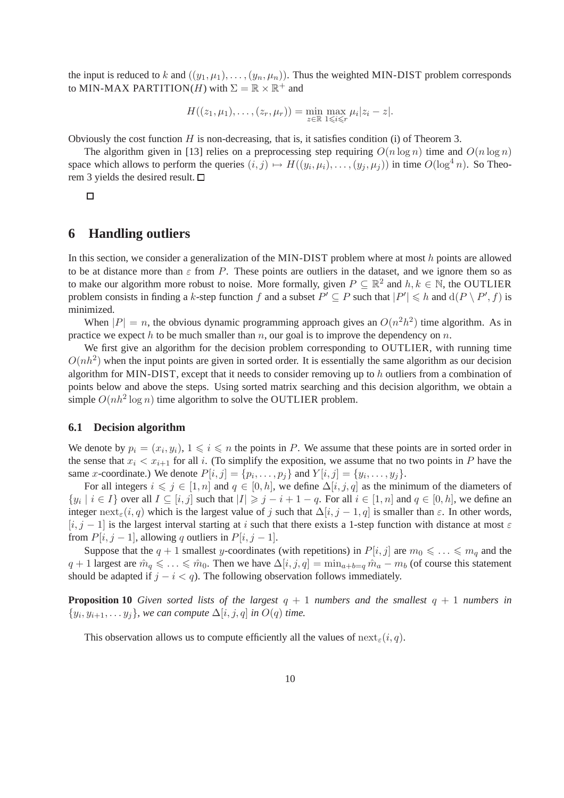the input is reduced to k and  $((y_1, \mu_1), \ldots, (y_n, \mu_n))$ . Thus the weighted MIN-DIST problem corresponds to MIN-MAX PARTITION(*H*) with  $\Sigma = \mathbb{R} \times \mathbb{R}^+$  and

$$
H((z_1,\mu_1),\ldots,(z_r,\mu_r))=\min_{z\in\mathbb{R}}\max_{1\leqslant i\leqslant r}\mu_i|z_i-z|.
$$

Obviously the cost function  $H$  is non-decreasing, that is, it satisfies condition (i) of Theorem 3.

The algorithm given in [13] relies on a preprocessing step requiring  $O(n \log n)$  time and  $O(n \log n)$ space which allows to perform the queries  $(i, j) \mapsto H((y_i, \mu_i), \dots, (y_j, \mu_j))$  in time  $O(\log^4 n)$ . So Theorem 3 yields the desired result.  $\square$ 

 $\Box$ 

# **6 Handling outliers**

In this section, we consider a generalization of the MIN-DIST problem where at most h points are allowed to be at distance more than  $\varepsilon$  from P. These points are outliers in the dataset, and we ignore them so as to make our algorithm more robust to noise. More formally, given  $P \subseteq \mathbb{R}^2$  and  $h, k \in \mathbb{N}$ , the OUTLIER problem consists in finding a k-step function f and a subset  $P' \subseteq P$  such that  $|P'| \le h$  and  $d(P \setminus P', f)$  is minimized.

When  $|P| = n$ , the obvious dynamic programming approach gives an  $O(n^2h^2)$  time algorithm. As in practice we expect h to be much smaller than n, our goal is to improve the dependency on  $n$ .

We first give an algorithm for the decision problem corresponding to OUTLIER, with running time  $O(nh^2)$  when the input points are given in sorted order. It is essentially the same algorithm as our decision algorithm for MIN-DIST, except that it needs to consider removing up to h outliers from a combination of points below and above the steps. Using sorted matrix searching and this decision algorithm, we obtain a simple  $O(nh^2 \log n)$  time algorithm to solve the OUTLIER problem.

#### **6.1 Decision algorithm**

We denote by  $p_i = (x_i, y_i), 1 \leq i \leq n$  the points in P. We assume that these points are in sorted order in the sense that  $x_i < x_{i+1}$  for all i. (To simplify the exposition, we assume that no two points in P have the same *x*-coordinate.) We denote  $P[i, j] = \{p_i, \ldots, p_j\}$  and  $Y[i, j] = \{y_i, \ldots, y_j\}$ .

For all integers  $i \leq j \in [1, n]$  and  $q \in [0, h]$ , we define  $\Delta[i, j, q]$  as the minimum of the diameters of  $\{y_i \mid i \in I\}$  over all  $I \subseteq [i, j]$  such that  $|I| \geq j - i + 1 - q$ . For all  $i \in [1, n]$  and  $q \in [0, h]$ , we define an integer next<sub>ε</sub>(i, q) which is the largest value of j such that  $\Delta[i, j - 1, q]$  is smaller than  $\varepsilon$ . In other words,  $[i, j - 1]$  is the largest interval starting at i such that there exists a 1-step function with distance at most  $\varepsilon$ from  $P[i, j - 1]$ , allowing q outliers in  $P[i, j - 1]$ .

Suppose that the  $q + 1$  smallest y-coordinates (with repetitions) in  $P[i, j]$  are  $m_0 \leq \ldots \leq m_q$  and the  $q + 1$  largest are  $\hat{m}_q \leq \ldots \leq \hat{m}_0$ . Then we have  $\Delta[i, j, q] = \min_{a+b=q} \hat{m}_a - m_b$  (of course this statement should be adapted if  $j - i < q$ ). The following observation follows immediately.

**Proposition 10** *Given sorted lists of the largest*  $q + 1$  *numbers and the smallest*  $q + 1$  *numbers in*  $\{y_i, y_{i+1}, \ldots y_j\}$ , we can compute  $\Delta[i, j, q]$  in  $O(q)$  time.

This observation allows us to compute efficiently all the values of  $\text{next}_{\varepsilon}(i, q)$ .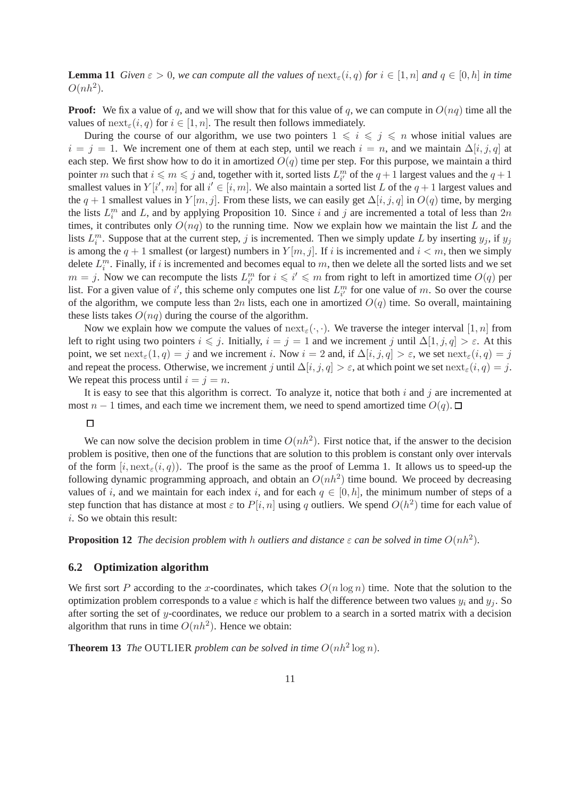**Lemma 11** *Given*  $\varepsilon > 0$ *, we can compute all the values of*  $\operatorname{next}_{\varepsilon}(i,q)$  *for*  $i \in [1,n]$  *and*  $q \in [0,h]$  *in time*  $O(nh^2)$ .

**Proof:** We fix a value of q, and we will show that for this value of q, we can compute in  $O(nq)$  time all the values of  $\text{next}_{\varepsilon}(i, q)$  for  $i \in [1, n]$ . The result then follows immediately.

During the course of our algorithm, we use two pointers  $1 \leq i \leq j \leq n$  whose initial values are  $i = j = 1$ . We increment one of them at each step, until we reach  $i = n$ , and we maintain  $\Delta[i, j, q]$  at each step. We first show how to do it in amortized  $O(q)$  time per step. For this purpose, we maintain a third pointer m such that  $i \leq m \leq j$  and, together with it, sorted lists  $L_{i'}^m$  of the  $q+1$  largest values and the  $q+1$ smallest values in  $Y[i', m]$  for all  $i' \in [i, m]$ . We also maintain a sorted list L of the  $q + 1$  largest values and the  $q + 1$  smallest values in  $Y[m, j]$ . From these lists, we can easily get  $\Delta[i, j, q]$  in  $O(q)$  time, by merging the lists  $L_i^m$  and L, and by applying Proposition 10. Since i and j are incremented a total of less than  $2n$ times, it contributes only  $O(nq)$  to the running time. Now we explain how we maintain the list L and the lists  $L_i^m$ . Suppose that at the current step, j is incremented. Then we simply update L by inserting  $y_j$ , if  $y_j$ is among the  $q + 1$  smallest (or largest) numbers in  $Y[m, j]$ . If i is incremented and  $i < m$ , then we simply delete  $L_i^m$ . Finally, if i is incremented and becomes equal to m, then we delete all the sorted lists and we set  $m = j$ . Now we can recompute the lists  $L_{i'}^m$  for  $i \leq i' \leq m$  from right to left in amortized time  $O(q)$  per list. For a given value of i', this scheme only computes one list  $L_{i'}^m$  for one value of m. So over the course of the algorithm, we compute less than 2n lists, each one in amortized  $O(q)$  time. So overall, maintaining these lists takes  $O(nq)$  during the course of the algorithm.

Now we explain how we compute the values of  $next_{\epsilon}(\cdot, \cdot)$ . We traverse the integer interval [1, n] from left to right using two pointers  $i \leq j$ . Initially,  $i = j = 1$  and we increment j until  $\Delta[1, j, q] > \varepsilon$ . At this point, we set  $\text{next}_{\varepsilon}(1,q) = j$  and we increment i. Now  $i = 2$  and, if  $\Delta[i, j, q] > \varepsilon$ , we set  $\text{next}_{\varepsilon}(i, q) = j$ and repeat the process. Otherwise, we increment j until  $\Delta[i, j, q] > \varepsilon$ , at which point we set  $\text{next}_{\varepsilon}(i, q) = j$ . We repeat this process until  $i = j = n$ .

It is easy to see that this algorithm is correct. To analyze it, notice that both  $i$  and  $j$  are incremented at most  $n - 1$  times, and each time we increment them, we need to spend amortized time  $O(q)$ .  $\Box$ 

#### $\Box$

We can now solve the decision problem in time  $O(nh^2)$ . First notice that, if the answer to the decision problem is positive, then one of the functions that are solution to this problem is constant only over intervals of the form  $[i, \text{next}_{\epsilon}(i, q)]$ . The proof is the same as the proof of Lemma 1. It allows us to speed-up the following dynamic programming approach, and obtain an  $O(nh^2)$  time bound. We proceed by decreasing values of i, and we maintain for each index i, and for each  $q \in [0, h]$ , the minimum number of steps of a step function that has distance at most  $\varepsilon$  to  $P[i, n]$  using q outliers. We spend  $O(h^2)$  time for each value of i. So we obtain this result:

**Proposition 12** *The decision problem with h outliers and distance*  $\varepsilon$  *can be solved in time*  $O(nh^2)$ *.* 

### **6.2 Optimization algorithm**

We first sort P according to the x-coordinates, which takes  $O(n \log n)$  time. Note that the solution to the optimization problem corresponds to a value  $\varepsilon$  which is half the difference between two values  $y_i$  and  $y_j$ . So after sorting the set of  $y$ -coordinates, we reduce our problem to a search in a sorted matrix with a decision algorithm that runs in time  $O(nh^2)$ . Hence we obtain:

**Theorem 13** *The* OUTLIER *problem can be solved in time*  $O(nh^2 \log n)$ *.*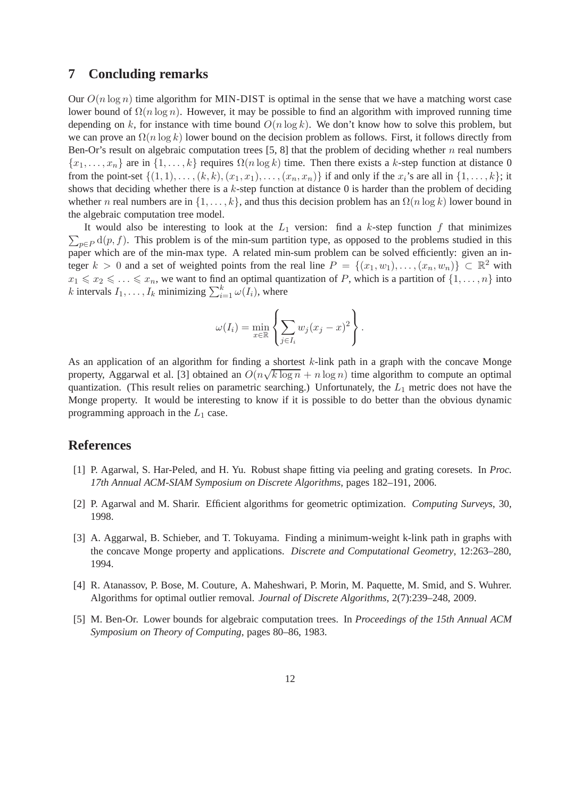### **7 Concluding remarks**

Our  $O(n \log n)$  time algorithm for MIN-DIST is optimal in the sense that we have a matching worst case lower bound of  $\Omega(n \log n)$ . However, it may be possible to find an algorithm with improved running time depending on k, for instance with time bound  $O(n \log k)$ . We don't know how to solve this problem, but we can prove an  $\Omega(n \log k)$  lower bound on the decision problem as follows. First, it follows directly from Ben-Or's result on algebraic computation trees  $[5, 8]$  that the problem of deciding whether n real numbers  ${x_1, \ldots, x_n}$  are in  ${1, \ldots, k}$  requires  $\Omega(n \log k)$  time. Then there exists a k-step function at distance 0 from the point-set  $\{(1,1),\ldots,(k,k),(x_1,x_1),\ldots,(x_n,x_n)\}$  if and only if the  $x_i$ 's are all in  $\{1,\ldots,k\}$ ; it shows that deciding whether there is a k-step function at distance 0 is harder than the problem of deciding whether n real numbers are in  $\{1, \ldots, k\}$ , and thus this decision problem has an  $\Omega(n \log k)$  lower bound in the algebraic computation tree model.

 $\sum_{p\in P} d(p, f)$ . This problem is of the min-sum partition type, as opposed to the problems studied in this It would also be interesting to look at the  $L_1$  version: find a k-step function f that minimizes paper which are of the min-max type. A related min-sum problem can be solved efficiently: given an integer  $k > 0$  and a set of weighted points from the real line  $P = \{(x_1, w_1), \ldots, (x_n, w_n)\} \subset \mathbb{R}^2$  with  $x_1 \leq x_2 \leq \ldots \leq x_n$ , we want to find an optimal quantization of P, which is a partition of  $\{1, \ldots, n\}$  into k intervals  $I_1, \ldots, I_k$  minimizing  $\sum_{i=1}^k \omega(I_i)$ , where

$$
\omega(I_i) = \min_{x \in \mathbb{R}} \left\{ \sum_{j \in I_i} w_j (x_j - x)^2 \right\}.
$$

As an application of an algorithm for finding a shortest  $k$ -link path in a graph with the concave Monge property, Aggarwal et al. [3] obtained an  $O(n\sqrt{k \log n} + n \log n)$  time algorithm to compute an optimal quantization. (This result relies on parametric searching.) Unfortunately, the  $L_1$  metric does not have the Monge property. It would be interesting to know if it is possible to do better than the obvious dynamic programming approach in the  $L_1$  case.

# **References**

- [1] P. Agarwal, S. Har-Peled, and H. Yu. Robust shape fitting via peeling and grating coresets. In *Proc. 17th Annual ACM-SIAM Symposium on Discrete Algorithms*, pages 182–191, 2006.
- [2] P. Agarwal and M. Sharir. Efficient algorithms for geometric optimization. *Computing Surveys*, 30, 1998.
- [3] A. Aggarwal, B. Schieber, and T. Tokuyama. Finding a minimum-weight k-link path in graphs with the concave Monge property and applications. *Discrete and Computational Geometry*, 12:263–280, 1994.
- [4] R. Atanassov, P. Bose, M. Couture, A. Maheshwari, P. Morin, M. Paquette, M. Smid, and S. Wuhrer. Algorithms for optimal outlier removal. *Journal of Discrete Algorithms*, 2(7):239–248, 2009.
- [5] M. Ben-Or. Lower bounds for algebraic computation trees. In *Proceedings of the 15th Annual ACM Symposium on Theory of Computing*, pages 80–86, 1983.